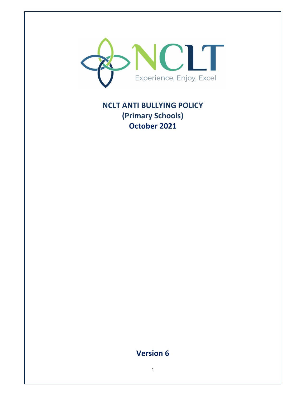

# **NCLT ANTI BULLYING POLICY (Primary Schools) October 2021**

# **Version 6**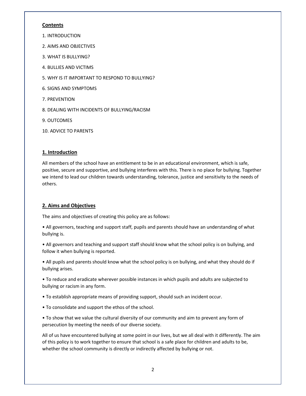#### **Contents**

- 1. INTRODUCTION
- 2. AIMS AND OBJECTIVES
- 3. WHAT IS BULLYING?
- 4. BULLIES AND VICTIMS
- 5. WHY IS IT IMPORTANT TO RESPOND TO BULLYING?
- 6. SIGNS AND SYMPTOMS
- 7. PREVENTION
- 8. DEALING WITH INCIDENTS OF BULLYING/RACISM
- 9. OUTCOMES
- 10. ADVICE TO PARENTS

## **1. Introduction**

All members of the school have an entitlement to be in an educational environment, which is safe, positive, secure and supportive, and bullying interferes with this. There is no place for bullying. Together we intend to lead our children towards understanding, tolerance, justice and sensitivity to the needs of others.

## **2. Aims and Objectives**

The aims and objectives of creating this policy are as follows:

• All governors, teaching and support staff, pupils and parents should have an understanding of what bullying is.

• All governors and teaching and support staff should know what the school policy is on bullying, and follow it when bullying is reported.

• All pupils and parents should know what the school policy is on bullying, and what they should do if bullying arises.

• To reduce and eradicate wherever possible instances in which pupils and adults are subjected to bullying or racism in any form.

• To establish appropriate means of providing support, should such an incident occur.

• To consolidate and support the ethos of the school.

• To show that we value the cultural diversity of our community and aim to prevent any form of persecution by meeting the needs of our diverse society.

All of us have encountered bullying at some point in our lives, but we all deal with it differently. The aim of this policy is to work together to ensure that school is a safe place for children and adults to be, whether the school community is directly or indirectly affected by bullying or not.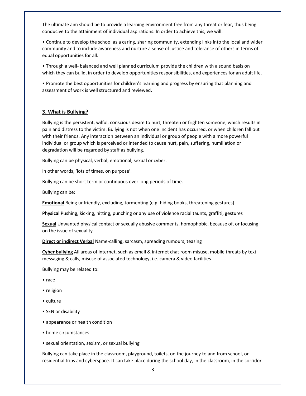The ultimate aim should be to provide a learning environment free from any threat or fear, thus being conducive to the attainment of individual aspirations. In order to achieve this, we will:

• Continue to develop the school as a caring, sharing community, extending links into the local and wider community and to include awareness and nurture a sense of justice and tolerance of others in terms of equal opportunities for all.

• Through a well- balanced and well planned curriculum provide the children with a sound basis on which they can build, in order to develop opportunities responsibilities, and experiences for an adult life.

• Promote the best opportunities for children's learning and progress by ensuring that planning and assessment of work is well structured and reviewed.

#### **3. What is Bullying?**

Bullying is the persistent, wilful, conscious desire to hurt, threaten or frighten someone, which results in pain and distress to the victim. Bullying is not when one incident has occurred, or when children fall out with their friends. Any interaction between an individual or group of people with a more powerful individual or group which is perceived or intended to cause hurt, pain, suffering, humiliation or degradation will be regarded by staff as bullying.

Bullying can be physical, verbal, emotional, sexual or cyber.

In other words, 'lots of times, on purpose'.

Bullying can be short term or continuous over long periods of time.

Bullying can be:

**Emotional** Being unfriendly, excluding, tormenting (e.g. hiding books, threatening gestures)

**Physical** Pushing, kicking, hitting, punching or any use of violence racial taunts, graffiti, gestures

**Sexual** Unwanted physical contact or sexually abusive comments, homophobic, because of, or focusing on the issue of sexuality

**Direct or indirect Verbal** Name-calling, sarcasm, spreading rumours, teasing

**Cyber bullying** All areas of internet, such as email & internet chat room misuse, mobile threats by text messaging & calls, misuse of associated technology, i.e. camera & video facilities

Bullying may be related to:

- race
- religion
- culture
- SEN or disability
- appearance or health condition
- home circumstances
- sexual orientation, sexism, or sexual bullying

Bullying can take place in the classroom, playground, toilets, on the journey to and from school, on residential trips and cyberspace. It can take place during the school day, in the classroom, in the corridor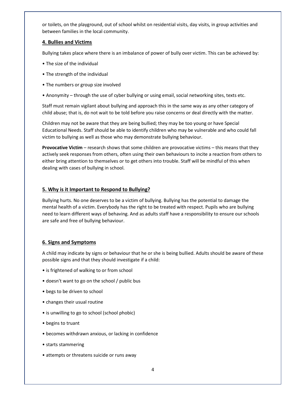or toilets, on the playground, out of school whilst on residential visits, day visits, in group activities and between families in the local community.

#### **4. Bullies and Victims**

Bullying takes place where there is an imbalance of power of bully over victim. This can be achieved by:

- The size of the individual
- The strength of the individual
- The numbers or group size involved
- Anonymity through the use of cyber bullying or using email, social networking sites, texts etc.

Staff must remain vigilant about bullying and approach this in the same way as any other category of child abuse; that is, do not wait to be told before you raise concerns or deal directly with the matter.

Children may not be aware that they are being bullied; they may be too young or have Special Educational Needs. Staff should be able to identify children who may be vulnerable and who could fall victim to bullying as well as those who may demonstrate bullying behaviour.

**Provocative Victim** – research shows that some children are provocative victims – this means that they actively seek responses from others, often using their own behaviours to incite a reaction from others to either bring attention to themselves or to get others into trouble. Staff will be mindful of this when dealing with cases of bullying in school.

### **5. Why is it Important to Respond to Bullying?**

Bullying hurts. No one deserves to be a victim of bullying. Bullying has the potential to damage the mental health of a victim. Everybody has the right to be treated with respect. Pupils who are bullying need to learn different ways of behaving. And as adults staff have a responsibility to ensure our schools are safe and free of bullying behaviour.

### **6. Signs and Symptoms**

A child may indicate by signs or behaviour that he or she is being bullied. Adults should be aware of these possible signs and that they should investigate if a child:

- is frightened of walking to or from school
- doesn't want to go on the school / public bus
- begs to be driven to school
- changes their usual routine
- is unwilling to go to school (school phobic)
- begins to truant
- becomes withdrawn anxious, or lacking in confidence
- starts stammering
- attempts or threatens suicide or runs away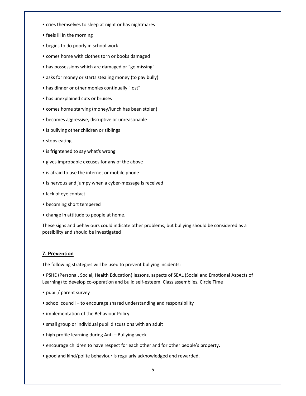- cries themselves to sleep at night or has nightmares
- feels ill in the morning
- begins to do poorly in school work
- comes home with clothes torn or books damaged
- has possessions which are damaged or "go missing"
- asks for money or starts stealing money (to pay bully)
- has dinner or other monies continually "lost"
- has unexplained cuts or bruises
- comes home starving (money/lunch has been stolen)
- becomes aggressive, disruptive or unreasonable
- is bullying other children or siblings
- stops eating
- is frightened to say what's wrong
- gives improbable excuses for any of the above
- is afraid to use the internet or mobile phone
- is nervous and jumpy when a cyber-message is received
- lack of eye contact
- becoming short tempered
- change in attitude to people at home.

These signs and behaviours could indicate other problems, but bullying should be considered as a possibility and should be investigated

#### **7. Prevention**

The following strategies will be used to prevent bullying incidents:

• PSHE (Personal, Social, Health Education) lessons, aspects of SEAL (Social and Emotional Aspects of Learning) to develop co-operation and build self-esteem. Class assemblies, Circle Time

- pupil / parent survey
- school council to encourage shared understanding and responsibility
- implementation of the Behaviour Policy
- small group or individual pupil discussions with an adult
- high profile learning during Anti Bullying week
- encourage children to have respect for each other and for other people's property.
- good and kind/polite behaviour is regularly acknowledged and rewarded.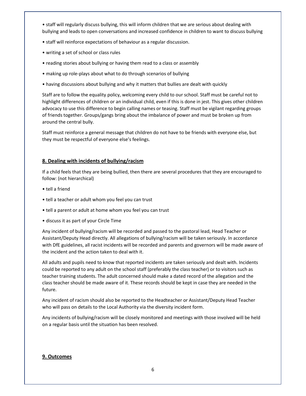• staff will regularly discuss bullying, this will inform children that we are serious about dealing with bullying and leads to open conversations and increased confidence in children to want to discuss bullying

- staff will reinforce expectations of behaviour as a regular discussion.
- writing a set of school or class rules
- reading stories about bullying or having them read to a class or assembly
- making up role-plays about what to do through scenarios of bullying
- having discussions about bullying and why it matters that bullies are dealt with quickly

Staff are to follow the equality policy, welcoming every child to our school. Staff must be careful not to highlight differences of children or an individual child, even if this is done in jest. This gives other children advocacy to use this difference to begin calling names or teasing. Staff must be vigilant regarding groups of friends together. Groups/gangs bring about the imbalance of power and must be broken up from around the central bully.

Staff must reinforce a general message that children do not have to be friends with everyone else, but they must be respectful of everyone else's feelings.

### **8. Dealing with incidents of bullying/racism**

If a child feels that they are being bullied, then there are several procedures that they are encouraged to follow: (not hierarchical)

- tell a friend
- tell a teacher or adult whom you feel you can trust
- tell a parent or adult at home whom you feel you can trust
- discuss it as part of your Circle Time

Any incident of bullying/racism will be recorded and passed to the pastoral lead, Head Teacher or Assistant/Deputy Head directly. All allegations of bullying/racism will be taken seriously. In accordance with DfE guidelines, all racist incidents will be recorded and parents and governors will be made aware of the incident and the action taken to deal with it.

All adults and pupils need to know that reported incidents are taken seriously and dealt with. Incidents could be reported to any adult on the school staff (preferably the class teacher) or to visitors such as teacher training students. The adult concerned should make a dated record of the allegation and the class teacher should be made aware of it. These records should be kept in case they are needed in the future.

Any incident of racism should also be reported to the Headteacher or Assistant/Deputy Head Teacher who will pass on details to the Local Authority via the diversity incident form.

Any incidents of bullying/racism will be closely monitored and meetings with those involved will be held on a regular basis until the situation has been resolved.

### **9. Outcomes**